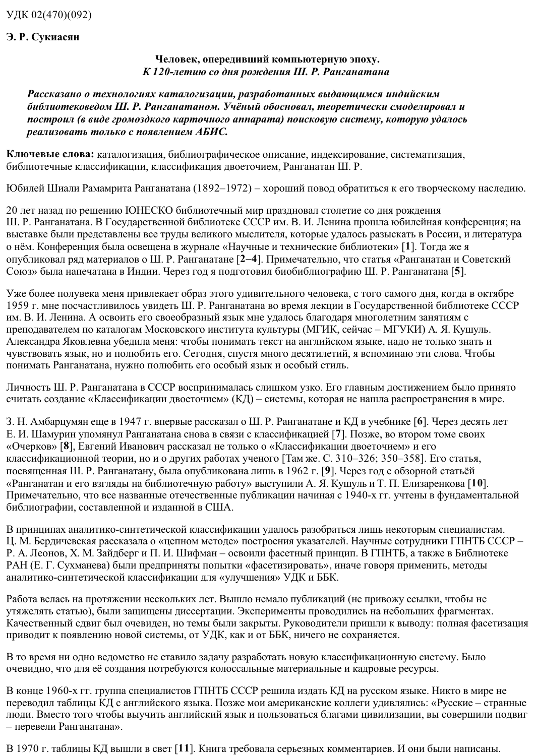## Э. Р. Сукиасян

## Человек, опередивший компьютерную эпоху. К 120-летию со дня рождения Ш. Р. Ранганатана

Рассказано о технологиях каталогизации, разработанных выдающимся индийским библиотековедом Ш. Р. Ранганатаном. Учёный обосновал, теоретически смоделировал и построил (в виде громоздкого карточного аппарата) поисковую систему, которую удалось реализовать только с появлением АБИС.

Ключевые слова: каталогизация, библиографическое описание, индексирование, систематизация, библиотечные классификации, классификация двоеточием, Ранганатан Ш. Р.

Юбилей Шиали Рамамрита Ранганатана (1892-1972) - хороший повод обратиться к его творческому наследию.

20 лет назад по решению ЮНЕСКО библиотечный мир праздновал столетие со дня рождения Ш. Р. Ранганатана. В Государственной библиотеке СССР им. В. И. Ленина прошла юбилейная конференция; на выставке были представлены все труды великого мыслителя, которые удалось разыскать в России, и литература о нём. Конференция была освещена в журнале «Научные и технические библиотеки» [1]. Тогда же я опубликовал ряд материалов о Ш. Р. Ранганатане [2-4]. Примечательно, что статья «Ранганатан и Советский Союз» была напечатана в Индии. Через год я подготовил биобиблиографию Ш. Р. Ранганатана [5].

Уже более полувека меня привлекает образ этого удивительного человека, с того самого дня, когда в октябре 1959 г. мне посчастливилось увидеть Ш. Р. Ранганатана во время лекции в Государственной библиотеке СССР им. В. И. Ленина. А освоить его своеобразный язык мне удалось благодаря многолетним занятиям с преподавателем по каталогам Московского института культуры (МГИК, сейчас – МГУКИ) А. Я. Кушуль. Александра Яковлевна убедила меня: чтобы понимать текст на английском языке, надо не только знать и чувствовать язык, но и полюбить его. Сегодня, спустя много десятилетий, я вспоминаю эти слова. Чтобы понимать Ранганатана, нужно полюбить его особый язык и особый стиль.

Личность Ш. Р. Ранганатана в СССР воспринималась слишком узко. Его главным достижением было принято считать создание «Классификации двоеточием» (КД) - системы, которая не нашла распространения в мире.

3. Н. Амбарцумян еще в 1947 г. впервые рассказал о Ш. Р. Ранганатане и КД в учебнике [6]. Через десять лет Е. И. Шамурин упомянул Ранганатана снова в связи с классификацией [7]. Позже, во втором томе своих «Очерков» [8], Евгений Иванович рассказал не только о «Классификации двоеточием» и его классификационной теории, но и о других работах ученого [Там же. С. 310-326; 350-358]. Его статья, посвященная Ш. Р. Ранганатану, была опубликована лишь в 1962 г. [9]. Через год с обзорной статьёй «Ранганатан и его взгляды на библиотечную работу» выступили А. Я. Кушуль и Т. П. Елизаренкова [10]. Примечательно, что все названные отечественные публикации начиная с 1940-х гг. учтены в фундаментальной библиографии, составленной и изданной в США.

В принципах аналитико-синтетической классификации удалось разобраться лишь некоторым специалистам. Ц. М. Бердичевская рассказала о «цепном методе» построения указателей. Научные сотрудники ГПНТБ СССР -Р. А. Леонов, Х. М. Зайдберг и П. И. Шифман - освоили фасетный принцип. В ГПНТБ, а также в Библиотеке РАН (Е. Г. Сухманева) были предприняты попытки «фасетизировать», иначе говоря применить, методы аналитико-синтетической классификации для «улучшения» УДК и ББК.

Работа велась на протяжении нескольких лет. Вышло немало публикаций (не привожу ссылки, чтобы не утяжелять статью), были защищены диссертации. Эксперименты проводились на небольших фрагментах. Качественный сдвиг был очевиден, но темы были закрыты. Руководители пришли к выводу: полная фасетизация приводит к появлению новой системы, от УДК, как и от ББК, ничего не сохраняется.

В то время ни одно ведомство не ставило задачу разработать новую классификационную систему. Было очевидно, что для её создания потребуются колоссальные материальные и кадровые ресурсы.

В конце 1960-х гг. группа специалистов ГПНТБ СССР решила издать КД на русском языке. Никто в мире не переводил таблицы КД с английского языка. Позже мои американские коллеги удивлялись: «Русские – странные люди. Вместо того чтобы выучить английский язык и пользоваться благами цивилизации, вы совершили подвиг - перевели Ранганатана».

В 1970 г. таблицы КД вышли в свет [11]. Книга требовала серьезных комментариев. И они были написаны.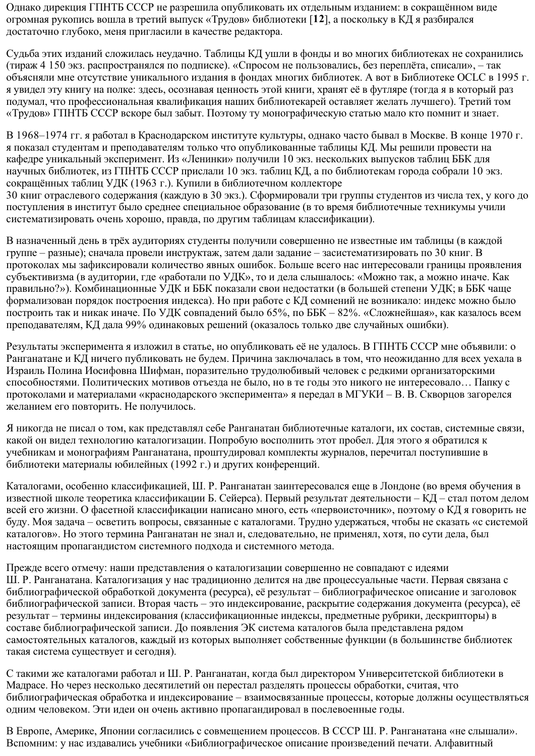Однако дирекция ГПНТБ СССР не разрешила опубликовать их отдельным изданием: в сокращённом виде огромная рукопись вошла в третий выпуск «Трудов» библиотеки [12], а поскольку в КД я разбирался достаточно глубоко, меня пригласили в качестве редактора.

Судьба этих изданий сложилась неудачно. Таблицы КД ушли в фонды и во многих библиотеках не сохранились (тираж 4 150 экз. распространялся по подписке). «Спросом не пользовались, без переплёта, списали», – так объясняли мне отсутствие уникального издания в фондах многих библиотек. А вот в Библиотеке ОСLС в 1995 г. я увидел эту книгу на полке: здесь, осознавая ценность этой книги, хранят её в футляре (тогда я в который раз подумал, что профессиональная квалификация наших библиотекарей оставляет желать лучшего). Третий том «Трудов» ГПНТБ СССР вскоре был забыт. Поэтому ту монографическую статью мало кто помнит и знает.

В 1968–1974 гг. я работал в Краснодарском институте культуры, однако часто бывал в Москве. В конце 1970 г. я показал студентам и преподавателям только что опубликованные таблицы КД. Мы решили провести на кафедре уникальный эксперимент. Из «Ленинки» получили 10 экз. нескольких выпусков таблиц ББК для научных библиотек, из ГПНТБ СССР прислали 10 экз. таблиц КД, а по библиотекам города собрали 10 экз. сокращённых таблиц УДК (1963 г.). Купили в библиотечном коллекторе 30 книг отраслевого содержания (каждую в 30 экз.). Сформировали три группы студентов из числа тех, у кого до поступления в институт было среднее специальное образование (в то время библиотечные техникумы учили систематизировать очень хорошо, правда, по другим таблицам классификации).

В назначенный день в трёх аудиториях студенты получили совершенно не известные им таблицы (в каждой группе - разные); сначала провели инструктаж, затем дали задание - засистематизировать по 30 книг. В протоколах мы зафиксировали количество явных ошибок. Больше всего нас интересовали границы проявления субъективизма (в аудитории, где «работали по УДК», то и дела слышалось: «Можно так, а можно иначе. Как правильно?»). Комбинационные УДК и ББК показали свои недостатки (в большей степени УДК; в ББК чаще формализован порядок построения индекса). Но при работе с КД сомнений не возникало: индекс можно было построить так и никак иначе. По УДК совпадений было 65%, по ББК - 82%. «Сложнейшая», как казалось всем преподавателям, КД дала 99% одинаковых решений (оказалось только две случайных ошибки).

Результаты эксперимента я изложил в статье, но опубликовать её не удалось. В ГПНТБ СССР мне объявили: о Ранганатане и КД ничего публиковать не будем. Причина заключалась в том, что неожиданно для всех уехала в Израиль Полина Иосифовна Шифман, поразительно трудолюбивый человек с редкими организаторскими способностями. Политических мотивов отъезда не было, но в те годы это никого не интересовало... Папку с протоколами и материалами «краснодарского эксперимента» я передал в МГУКИ - В. В. Скворцов загорелся желанием его повторить. Не получилось.

Я никогда не писал о том, как представлял себе Ранганатан библиотечные каталоги, их состав, системные связи, какой он видел технологию каталогизации. Попробую восполнить этот пробел. Для этого я обратился к учебникам и монографиям Ранганатана, проштудировал комплекты журналов, перечитал поступившие в библиотеки материалы юбилейных (1992 г.) и других конференций.

Каталогами, особенно классификацией, Ш. Р. Ранганатан заинтересовался еще в Лондоне (во время обучения в известной школе теоретика классификации Б. Сейерса). Первый результат деятельности – КД – стал потом делом всей его жизни. О фасетной классификации написано много, есть «первоисточник», поэтому о КД я говорить не буду. Моя задача – осветить вопросы, связанные с каталогами. Трудно удержаться, чтобы не сказать «с системой каталогов». Но этого термина Ранганатан не знал и, следовательно, не применял, хотя, по сути дела, был настоящим пропагандистом системного подхода и системного метода.

Прежде всего отмечу: наши представления о каталогизации совершенно не совпадают с идеями Ш. Р. Ранганатана. Каталогизация у нас традиционно делится на две процессуальные части. Первая связана с библиографической обработкой документа (ресурса), её результат – библиографическое описание и заголовок библиографической записи. Вторая часть - это индексирование, раскрытие содержания документа (ресурса), её результат - термины индексирования (классификационные индексы, предметные рубрики, дескрипторы) в составе библиографической записи. До появления ЭК система каталогов была представлена рядом самостоятельных каталогов, каждый из которых выполняет собственные функции (в большинстве библиотек такая система существует и сегодня).

С такими же каталогами работал и Ш. Р. Ранганатан, когда был директором Университетской библиотеки в Мадрасе. Но через несколько десятилетий он перестал разделять процессы обработки, считая, что библиографическая обработка и индексирование - взаимосвязанные процессы, которые должны осуществляться одним человеком. Эти идеи он очень активно пропагандировал в послевоенные годы.

В Европе, Америке, Японии согласились с совмещением процессов. В СССР Ш. Р. Ранганатана «не слышали». Вспомним: у нас издавались учебники «Библиографическое описание произведений печати. Алфавитный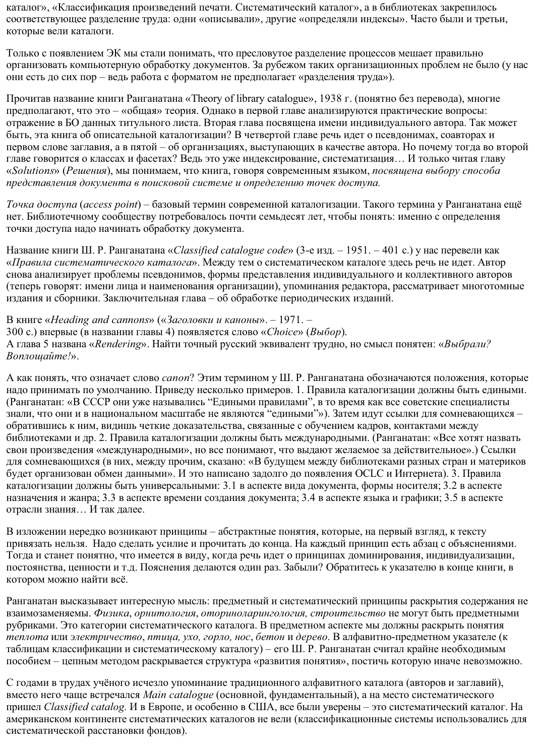каталог», «Классификация произведений печати. Систематический каталог», а в библиотеках закрепилось соответствующее разделение труда: одни «описывали», другие «определяли индексы». Часто были и третьи, которые вели каталоги.

Только с появлением ЭК мы стали понимать, что пресловутое разделение процессов мешает правильно организовать компьютерную обработку документов. За рубежом таких организационных проблем не было (у нас они есть до сих пор – ведь работа с форматом не предполагает «разделения труда»).

Прочитав название книги Ранганатана «Theory of library catalogue», 1938 г. (понятно без перевода), многие предполагают, что это - «общая» теория. Однако в первой главе анализируются практические вопросы: отражение в БО данных титульного листа. Вторая глава посвящена имени индивидуального автора. Так может быть, эта книга об описательной каталогизации? В четвертой главе речь идет о псевдонимах, соавторах и первом слове заглавия, а в пятой – об организациях, выступающих в качестве автора. Но почему тогда во второй главе говорится о классах и фасетах? Ведь это уже индексирование, систематизация... И только читая главу «Solutions» (Решения), мы понимаем, что книга, говоря современным языком, посвящена выбору способа представления документа в поисковой системе и определению точек доступа.

Точка доступа (access point) – базовый термин современной каталогизации. Такого термина у Ранганатана ещё нет. Библиотечному сообществу потребовалось почти семьдесят лет, чтобы понять: именно с определения точки доступа надо начинать обработку документа.

Название книги Ш. Р. Ранганатана «Classified catalogue code» (3-е изд. - 1951. - 401 с.) у нас перевели как «Правила систематического каталога». Между тем о систематическом каталоге здесь речь не идет. Автор снова анализирует проблемы псевдонимов, формы представления индивидуального и коллективного авторов (теперь говорят: имени лица и наименования организации), упоминания редактора, рассматривает многотомные издания и сборники. Заключительная глава - об обработке периодических изданий.

В книге «Heading and cannons» («Заголовки и каноны». - 1971. -

300 с.) впервые (в названии главы 4) появляется слово «Choice» (Выбор).

А глава 5 названа «Rendering». Найти точный русский эквивалент трудно, но смысл понятен: «Выбрали? Воплощайте!».

А как понять, что означает слово *сапоп*? Этим термином у Ш. Р. Ранганатана обозначаются положения, которые надо принимать по умолчанию. Приведу несколько примеров. 1. Правила каталогизации должны быть едиными. (Ранганатан: «В СССР они уже назывались "Едиными правилами", в то время как все советские специалисты знали, что они и в национальном масштабе не являются "едиными"»). Затем идут ссылки для сомневающихся обратившись к ним, видишь четкие доказательства, связанные с обучением кадров, контактами между библиотеками и лр. 2. Правила каталогизации должны быть международными. (Ранганатан: «Все хотят назвать свои произведения «международными», но все понимают, что выдают желаемое за действительное».) Ссылки для сомневающихся (в них, между прочим, сказано: «В будущем между библиотеками разных стран и материков будет организован обмен данными». И это написано задолго до появления ОСLС и Интернета). 3. Правила каталогизации должны быть универсальными: 3.1 в аспекте вида документа, формы носителя; 3.2 в аспекте назначения и жанра; 3.3 в аспекте времени создания документа; 3.4 в аспекте языка и графики; 3.5 в аспекте отрасли знания... И так далее.

В изложении нередко возникают принципы - абстрактные понятия, которые, на первый взгляд, к тексту привязать нельзя. Надо сделать усилие и прочитать до конца. На каждый принцип есть абзац с объяснениями. Тогда и станет понятно, что имеется в виду, когда речь идет о принципах доминирования, индивидуализации, постоянства, ценности и т.д. Пояснения делаются один раз. Забыли? Обратитесь к указателю в конце книги, в котором можно найти всё.

Ранганатан высказывает интересную мысль: предметный и систематический принципы раскрытия содержания не взаимозаменяемы. Физика, орнитология, оториноларингология, строительство не могут быть предметными рубриками. Это категории систематического каталога. В предметном аспекте мы должны раскрыть понятия теплота или электричество, птица, ухо, горло, нос, бетон и дерево. В алфавитно-предметном указателе (к таблицам классификации и систематическому каталогу) - его Ш. Р. Ранганатан считал крайне необходимым пособием - цепным методом раскрывается структура «развития понятия», постичь которую иначе невозможно.

С годами в трудах учёного исчезло упоминание традиционного алфавитного каталога (авторов и заглавий), вместо него чаще встречался Main catalogue (основной, фундаментальный), а на место систематического пришел Classified catalog. И в Европе, и особенно в США, все были уверены - это систематический каталог. На американском континенте систематических каталогов не вели (классификационные системы использовались для систематической расстановки фондов).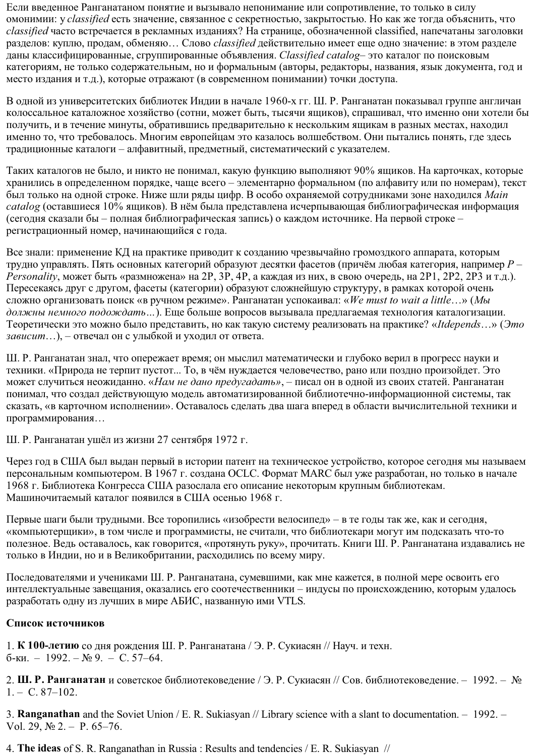Если введенное Ранганатаном понятие и вызывало непонимание или сопротивление, то только в силу омонимии: y classified есть значение, связанное с секретностью, закрытостью. Но как же тогда объяснить, что classified часто встречается в рекламных изданиях? На странице, обозначенной classified, напечатаны заголовки разделов: куплю, продам, обменяю... Слово *classified* действительно имеет еще одно значение: в этом разделе даны классифицированные, сгруппированные объявления. Classified catalog- это каталог по поисковым категориям, не только содержательным, но и формальным (авторы, редакторы, названия, язык документа, год и место издания и т.д.), которые отражают (в современном понимании) точки доступа.

В одной из университетских библиотек Индии в начале 1960-х гг. Ш. Р. Ранганатан показывал группе англичан колоссальное каталожное хозяйство (сотни, может быть, тысячи ящиков), спрашивал, что именно они хотели бы получить, и в течение минуты, обратившись предварительно к нескольким ящикам в разных местах, находил именно то, что требовалось. Многим европейцам это казалось волшебством. Они пытались понять, где здесь традиционные каталоги - алфавитный, предметный, систематический с указателем.

Таких каталогов не было, и никто не понимал, какую функцию выполняют 90% ящиков. На карточках, которые хранились в определенном порядке, чаще всего - элементарно формальном (по алфавиту или по номерам), текст был только на одной строке. Ниже шли ряды цифр. В особо охраняемой сотрудниками зоне находился Main catalog (оставшиеся 10% ящиков). В нём была представлена исчерпывающая библиографическая информация (сегодня сказали бы - полная библиографическая запись) о каждом источнике. На первой строке регистрационный номер, начинающийся с года.

Все знали: применение КД на практике приводит к созданию чрезвычайно громоздкого аппарата, которым трудно управлять. Пять основных категорий образуют десятки фасетов (причём любая категория, например  $P-$ Personality, может быть «размножена» на 2P, 3P, 4P, а каждая из них, в свою очередь, на 2P1, 2P2, 2P3 и т.д.). Пересекаясь друг с другом, фасеты (категории) образуют сложнейшую структуру, в рамках которой очень сложно организовать поиск «в ручном режиме». Ранганатан успокаивал: «We must to wait a little...» (Мы должны немного подождать...). Еще больше вопросов вызывала предлагаемая технология каталогизации. Теоретически это можно было представить, но как такую систему реализовать на практике? «Itdepends...» (Это зависит...), - отвечал он с улыбкой и уходил от ответа.

Ш. Р. Ранганатан знал, что опережает время; он мыслил математически и глубоко верил в прогресс науки и техники. «Природа не терпит пустот... То, в чём нуждается человечество, рано или поздно произойдет. Это может случиться неожиданно. «Нам не дано предугадать», - писал он в одной из своих статей. Ранганатан понимал, что создал действующую модель автоматизированной библиотечно-информационной системы, так сказать, «в карточном исполнении». Оставалось сделать два шага вперед в области вычислительной техники и программирования...

Ш. Р. Ранганатан ушёл из жизни 27 сентября 1972 г.

Через год в США был выдан первый в истории патент на техническое устройство, которое сегодня мы называем персональным компьютером. В 1967 г. создана ОССС. Формат МАРС был уже разработан, но только в начале 1968 г. Библиотека Конгресса США разослала его описание некоторым крупным библиотекам. Машиночитаемый каталог появился в США осенью 1968 г.

Первые шаги были трудными. Все торопились «изобрести велосипед» – в те годы так же, как и сегодня, «компьютерщики», в том числе и программисты, не считали, что библиотекари могут им подсказать что-то полезное. Ведь оставалось, как говорится, «протянуть руку», прочитать. Книги Ш. Р. Ранганатана издавались не только в Индии, но и в Великобритании, расходились по всему миру.

Последователями и учениками Ш. Р. Ранганатана, сумевшими, как мне кажется, в полной мере освоить его интеллектуальные завещания, оказались его соотечественники - индусы по происхождению, которым удалось разработать одну из лучших в мире AБИС, названную ими VTLS.

## Список источников

1. К 100-летию со дня рождения Ш. Р. Ранганатана / Э. Р. Сукиасян // Науч. и техн.  $6-<sub>KH</sub>$  - 1992. - No 9. - C, 57-64.

2. Ш. Р. Ранганатан и советское библиотековедение / Э. Р. Сукиасян // Сов. библиотековедение. - 1992. - №  $1. - C. 87 - 102.$ 

3. Ranganathan and the Soviet Union / E. R. Sukiasyan // Library science with a slant to documentation. - 1992. -Vol. 29,  $\mathbb{N}$  2. - P. 65-76.

4. The ideas of S. R. Ranganathan in Russia: Results and tendencies / E. R. Sukiasyan //